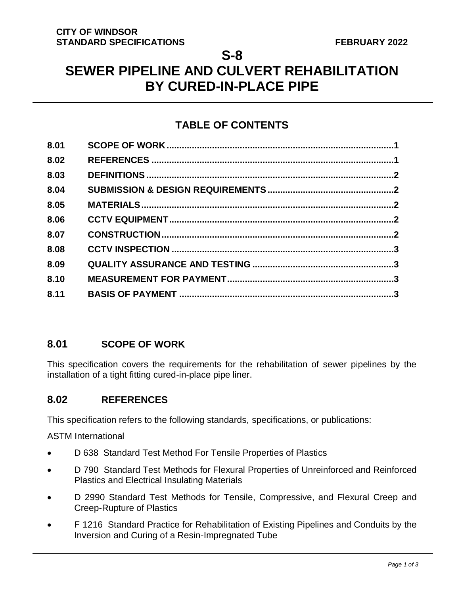**S-8**

# **SEWER PIPELINE AND CULVERT REHABILITATION BY CURED-IN-PLACE PIPE**

## **TABLE OF CONTENTS**

| 8.01 |  |
|------|--|
| 8.02 |  |
| 8.03 |  |
| 8.04 |  |
| 8.05 |  |
| 8.06 |  |
| 8.07 |  |
| 8.08 |  |
| 8.09 |  |
| 8.10 |  |
| 8.11 |  |

## <span id="page-0-0"></span>**8.01 SCOPE OF WORK**

This specification covers the requirements for the rehabilitation of sewer pipelines by the installation of a tight fitting cured-in-place pipe liner.

## <span id="page-0-1"></span>**8.02 REFERENCES**

This specification refers to the following standards, specifications, or publications:

ASTM International

- D 638 Standard Test Method For Tensile Properties of Plastics
- D 790 Standard Test Methods for Flexural Properties of Unreinforced and Reinforced Plastics and Electrical Insulating Materials
- D 2990 Standard Test Methods for Tensile, Compressive, and Flexural Creep and Creep-Rupture of Plastics
- F 1216 Standard Practice for Rehabilitation of Existing Pipelines and Conduits by the Inversion and Curing of a Resin-Impregnated Tube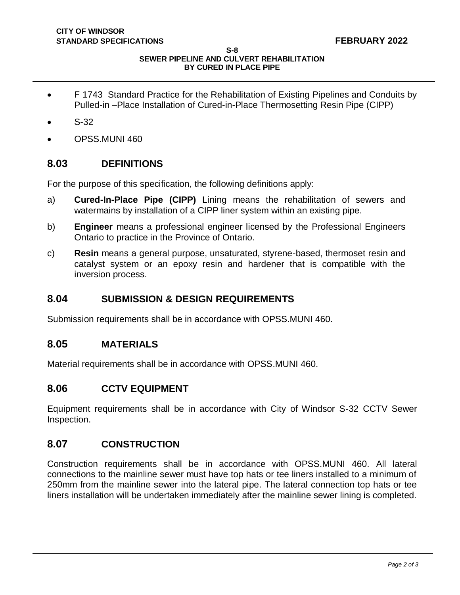**S-8**

#### **SEWER PIPELINE AND CULVERT REHABILITATION BY CURED IN PLACE PIPE**

- F 1743 Standard Practice for the Rehabilitation of Existing Pipelines and Conduits by Pulled-in –Place Installation of Cured-in-Place Thermosetting Resin Pipe (CIPP)
- S-32
- OPSS.MUNI 460

## <span id="page-1-0"></span>**8.03 DEFINITIONS**

For the purpose of this specification, the following definitions apply:

- a) **Cured-In-Place Pipe (CIPP)** Lining means the rehabilitation of sewers and watermains by installation of a CIPP liner system within an existing pipe.
- b) **Engineer** means a professional engineer licensed by the Professional Engineers Ontario to practice in the Province of Ontario.
- c) **Resin** means a general purpose, unsaturated, styrene-based, thermoset resin and catalyst system or an epoxy resin and hardener that is compatible with the inversion process.

#### <span id="page-1-1"></span>**8.04 SUBMISSION & DESIGN REQUIREMENTS**

Submission requirements shall be in accordance with OPSS.MUNI 460.

#### <span id="page-1-2"></span>**8.05 MATERIALS**

Material requirements shall be in accordance with OPSS.MUNI 460.

#### <span id="page-1-3"></span>**8.06 CCTV EQUIPMENT**

Equipment requirements shall be in accordance with City of Windsor S-32 CCTV Sewer Inspection.

#### <span id="page-1-4"></span>**8.07 CONSTRUCTION**

Construction requirements shall be in accordance with OPSS.MUNI 460. All lateral connections to the mainline sewer must have top hats or tee liners installed to a minimum of 250mm from the mainline sewer into the lateral pipe. The lateral connection top hats or tee liners installation will be undertaken immediately after the mainline sewer lining is completed.